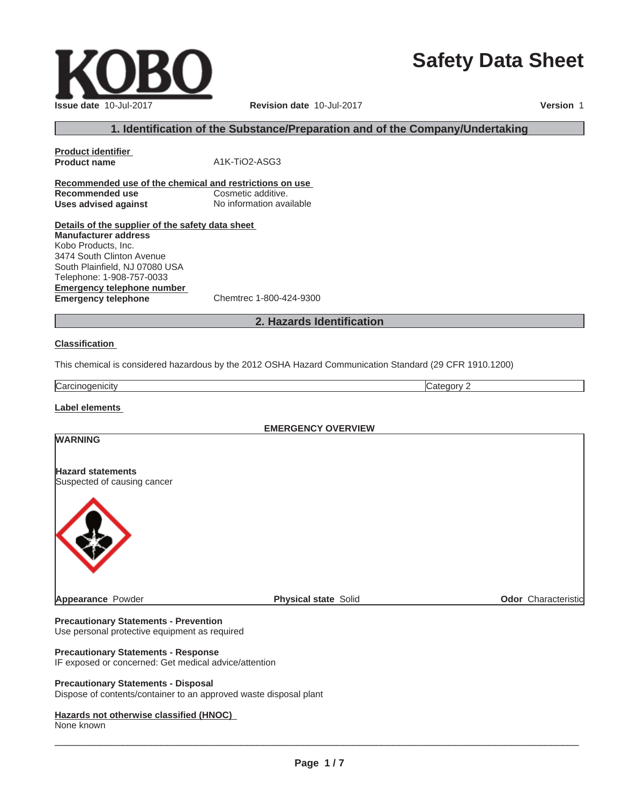# **Safety Data Sheet**

 $\_$  ,  $\_$  ,  $\_$  ,  $\_$  ,  $\_$  ,  $\_$  ,  $\_$  ,  $\_$  ,  $\_$  ,  $\_$  ,  $\_$  ,  $\_$  ,  $\_$  ,  $\_$  ,  $\_$  ,  $\_$  ,  $\_$  ,  $\_$  ,  $\_$  ,  $\_$  ,  $\_$  ,  $\_$  ,  $\_$  ,  $\_$  ,  $\_$  ,  $\_$  ,  $\_$  ,  $\_$  ,  $\_$  ,  $\_$  ,  $\_$  ,  $\_$  ,  $\_$  ,  $\_$  ,  $\_$  ,  $\_$  ,  $\_$  ,

# **1. Identification of the Substance/Preparation and of the Company/Undertaking**

**Product identifier Product name** A1K-TiO2-ASG3 **Recommended use of the chemical and restrictions on use Recommended use Cosmetic additive. Uses advised against** No information available

**Details of the supplier of the safety data sheet Emergency telephone number Manufacturer address** Kobo Products, Inc. 3474 South Clinton Avenue South Plainfield, NJ 07080 USA Telephone: 1-908-757-0033

**Emergency telephone** Chemtrec 1-800-424-9300

# **2. Hazards Identification**

#### **Classification**

This chemical is considered hazardous by the 2012 OSHA Hazard Communication Standard (29 CFR 1910.1200)

**Carcinogenicity** Category 2

**WARNING**

**Label elements**

**EMERGENCY OVERVIEW**

# **Hazard statements**

Suspected of causing cancer



**Appearance** Powder **Physical state** Solid **Physical state** Solid **Physical State** Solid **Odor** Characteristic

**Precautionary Statements - Prevention** Use personal protective equipment as required

#### **Precautionary Statements - Response**

IF exposed or concerned: Get medical advice/attention

#### **Precautionary Statements - Disposal**

Dispose of contents/container to an approved waste disposal plant

#### **Hazards not otherwise classified (HNOC)**

None known

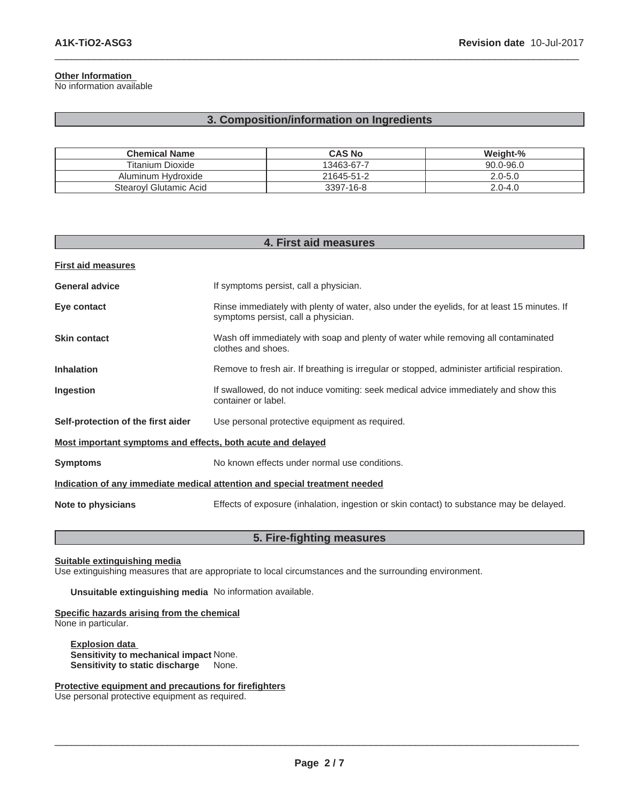# **Other Information**

No information available

# **3. Composition/information on Ingredients**

 $\_$  ,  $\_$  ,  $\_$  ,  $\_$  ,  $\_$  ,  $\_$  ,  $\_$  ,  $\_$  ,  $\_$  ,  $\_$  ,  $\_$  ,  $\_$  ,  $\_$  ,  $\_$  ,  $\_$  ,  $\_$  ,  $\_$  ,  $\_$  ,  $\_$  ,  $\_$  ,  $\_$  ,  $\_$  ,  $\_$  ,  $\_$  ,  $\_$  ,  $\_$  ,  $\_$  ,  $\_$  ,  $\_$  ,  $\_$  ,  $\_$  ,  $\_$  ,  $\_$  ,  $\_$  ,  $\_$  ,  $\_$  ,  $\_$  ,

| <b>Chemical Name</b>   | <b>CAS No</b> | Weight-%      |
|------------------------|---------------|---------------|
| Titanium Dioxide       | 13463-67-7    | $90.0 - 96.0$ |
| Aluminum Hydroxide     | 21645-51-2    | $2.0 - 5.0$   |
| Stearoyl Glutamic Acid | 3397-16-8     | $2.0 - 4.0$   |

| 4. First aid measures                                                      |                                                                                                                                    |  |
|----------------------------------------------------------------------------|------------------------------------------------------------------------------------------------------------------------------------|--|
| <b>First aid measures</b>                                                  |                                                                                                                                    |  |
| <b>General advice</b>                                                      | If symptoms persist, call a physician.                                                                                             |  |
| Eye contact                                                                | Rinse immediately with plenty of water, also under the eyelids, for at least 15 minutes. If<br>symptoms persist, call a physician. |  |
| <b>Skin contact</b>                                                        | Wash off immediately with soap and plenty of water while removing all contaminated<br>clothes and shoes.                           |  |
| <b>Inhalation</b>                                                          | Remove to fresh air. If breathing is irregular or stopped, administer artificial respiration.                                      |  |
| Ingestion                                                                  | If swallowed, do not induce vomiting: seek medical advice immediately and show this<br>container or label.                         |  |
| Self-protection of the first aider                                         | Use personal protective equipment as required.                                                                                     |  |
| Most important symptoms and effects, both acute and delayed                |                                                                                                                                    |  |
| <b>Symptoms</b>                                                            | No known effects under normal use conditions.                                                                                      |  |
| Indication of any immediate medical attention and special treatment needed |                                                                                                                                    |  |
| Note to physicians                                                         | Effects of exposure (inhalation, ingestion or skin contact) to substance may be delayed.                                           |  |

# **5. Fire-fighting measures**

**Suitable extinguishing media**

Use extinguishing measures that are appropriate to local circumstances and the surrounding environment.

**Unsuitable extinguishing media** No information available.

#### **Specific hazards arising from the chemical** None in particular.

**Explosion data Sensitivity to mechanical impact** None. **Sensitivity to static discharge** None.

**Protective equipment and precautions for firefighters**

Use personal protective equipment as required.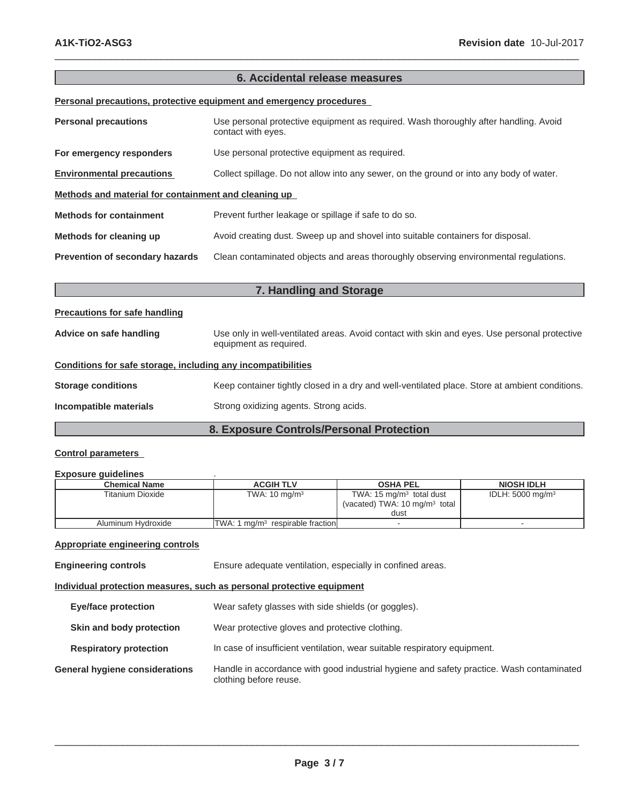# **6. Accidental release measures**

 $\_$  ,  $\_$  ,  $\_$  ,  $\_$  ,  $\_$  ,  $\_$  ,  $\_$  ,  $\_$  ,  $\_$  ,  $\_$  ,  $\_$  ,  $\_$  ,  $\_$  ,  $\_$  ,  $\_$  ,  $\_$  ,  $\_$  ,  $\_$  ,  $\_$  ,  $\_$  ,  $\_$  ,  $\_$  ,  $\_$  ,  $\_$  ,  $\_$  ,  $\_$  ,  $\_$  ,  $\_$  ,  $\_$  ,  $\_$  ,  $\_$  ,  $\_$  ,  $\_$  ,  $\_$  ,  $\_$  ,  $\_$  ,  $\_$  ,

**Personal precautions, protective equipment and emergency procedures**

| <b>Personal precautions</b>                          | Use personal protective equipment as required. Wash thoroughly after handling. Avoid<br>contact with eyes. |  |
|------------------------------------------------------|------------------------------------------------------------------------------------------------------------|--|
| For emergency responders                             | Use personal protective equipment as required.                                                             |  |
| <b>Environmental precautions</b>                     | Collect spillage. Do not allow into any sewer, on the ground or into any body of water.                    |  |
| Methods and material for containment and cleaning up |                                                                                                            |  |
| <b>Methods for containment</b>                       | Prevent further leakage or spillage if safe to do so.                                                      |  |
| Methods for cleaning up                              | Avoid creating dust. Sweep up and shovel into suitable containers for disposal.                            |  |
| <b>Prevention of secondary hazards</b>               | Clean contaminated objects and areas thoroughly observing environmental regulations.                       |  |

| 7. Handling and Storage                                      |                                                                                                                        |  |
|--------------------------------------------------------------|------------------------------------------------------------------------------------------------------------------------|--|
| <b>Precautions for safe handling</b>                         |                                                                                                                        |  |
| Advice on safe handling                                      | Use only in well-ventilated areas. Avoid contact with skin and eyes. Use personal protective<br>equipment as required. |  |
| Conditions for safe storage, including any incompatibilities |                                                                                                                        |  |
| <b>Storage conditions</b>                                    | Keep container tightly closed in a dry and well-ventilated place. Store at ambient conditions.                         |  |
| Incompatible materials                                       | Strong oxidizing agents. Strong acids.                                                                                 |  |
| 8. Exposure Controls/Personal Protection                     |                                                                                                                        |  |

#### **Control parameters**

#### **Exposure guidelines** .

| <b>Chemical Name</b> | <b>ACGIH TLV</b>                             | <b>OSHA PEL</b>                                                                 | <b>NIOSH IDLH</b>           |
|----------------------|----------------------------------------------|---------------------------------------------------------------------------------|-----------------------------|
| Titanium Dioxide     | TWA: $10 \text{ ma/m}^3$                     | TWA: $15 \text{ mg/m}^3$ total dust<br>(vacated) TWA: $10 \text{ mg/m}^3$ total | IDLH: $5000 \text{ mg/m}^3$ |
|                      |                                              | dust                                                                            |                             |
| Aluminum Hydroxide   | TWA: 1 mg/m <sup>3</sup> respirable fraction |                                                                                 |                             |

### **Appropriate engineering controls**

**Engineering controls** Ensure adequate ventilation, especially in confined areas.

**Individual protection measures, such as personal protective equipment**

| <b>Eye/face protection</b>            | Wear safety glasses with side shields (or goggles).                                                                |
|---------------------------------------|--------------------------------------------------------------------------------------------------------------------|
| Skin and body protection              | Wear protective gloves and protective clothing.                                                                    |
| <b>Respiratory protection</b>         | In case of insufficient ventilation, wear suitable respiratory equipment.                                          |
| <b>General hygiene considerations</b> | Handle in accordance with good industrial hygiene and safety practice. Wash contaminated<br>clothing before reuse. |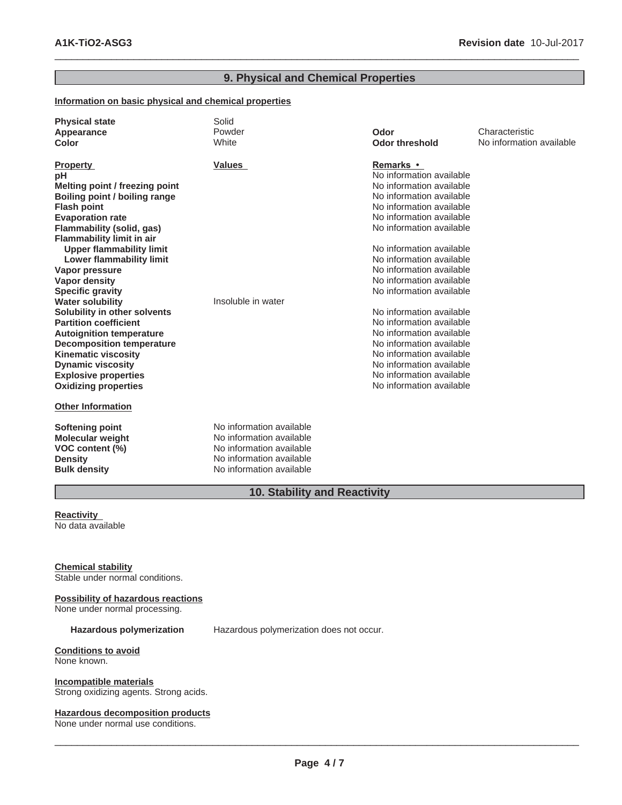# **9. Physical and Chemical Properties**

 $\_$  ,  $\_$  ,  $\_$  ,  $\_$  ,  $\_$  ,  $\_$  ,  $\_$  ,  $\_$  ,  $\_$  ,  $\_$  ,  $\_$  ,  $\_$  ,  $\_$  ,  $\_$  ,  $\_$  ,  $\_$  ,  $\_$  ,  $\_$  ,  $\_$  ,  $\_$  ,  $\_$  ,  $\_$  ,  $\_$  ,  $\_$  ,  $\_$  ,  $\_$  ,  $\_$  ,  $\_$  ,  $\_$  ,  $\_$  ,  $\_$  ,  $\_$  ,  $\_$  ,  $\_$  ,  $\_$  ,  $\_$  ,  $\_$  ,

# **Information on basic physical and chemical properties**

| <b>Physical state</b><br>Appearance<br>Color            | Solid<br>Powder<br>White | Odor<br><b>Odor threshold</b>                        | Characteristic<br>No information available |
|---------------------------------------------------------|--------------------------|------------------------------------------------------|--------------------------------------------|
| <b>Property</b>                                         | <b>Values</b>            | Remarks •                                            |                                            |
| pH                                                      |                          | No information available                             |                                            |
| Melting point / freezing point                          |                          | No information available                             |                                            |
| Boiling point / boiling range                           |                          | No information available                             |                                            |
| <b>Flash point</b>                                      |                          | No information available                             |                                            |
| <b>Evaporation rate</b>                                 |                          | No information available                             |                                            |
| Flammability (solid, gas)                               |                          | No information available                             |                                            |
| <b>Flammability limit in air</b>                        |                          |                                                      |                                            |
| <b>Upper flammability limit</b>                         |                          | No information available                             |                                            |
| <b>Lower flammability limit</b>                         |                          | No information available                             |                                            |
| Vapor pressure                                          |                          | No information available                             |                                            |
| <b>Vapor density</b>                                    |                          | No information available                             |                                            |
| <b>Specific gravity</b>                                 |                          | No information available                             |                                            |
| <b>Water solubility</b>                                 | Insoluble in water       |                                                      |                                            |
| Solubility in other solvents                            |                          | No information available                             |                                            |
| <b>Partition coefficient</b>                            |                          | No information available                             |                                            |
| <b>Autoignition temperature</b>                         |                          | No information available<br>No information available |                                            |
| <b>Decomposition temperature</b>                        |                          | No information available                             |                                            |
| <b>Kinematic viscosity</b>                              |                          | No information available                             |                                            |
| <b>Dynamic viscosity</b><br><b>Explosive properties</b> |                          | No information available                             |                                            |
| <b>Oxidizing properties</b>                             |                          | No information available                             |                                            |
|                                                         |                          |                                                      |                                            |
| <b>Other Information</b>                                |                          |                                                      |                                            |
| Softening point                                         | No information available |                                                      |                                            |
| <b>Molecular weight</b>                                 | No information available |                                                      |                                            |
| VOC content (%)                                         | No information available |                                                      |                                            |
| <b>Density</b>                                          | No information available |                                                      |                                            |
| <b>Bulk density</b>                                     | No information available |                                                      |                                            |
|                                                         |                          |                                                      |                                            |

# **10. Stability and Reactivity**

#### **Reactivity** No data available

# **Chemical stability**

Stable under normal conditions.

# **Possibility of hazardous reactions**

None under normal processing.

**Hazardous polymerization** Hazardous polymerization does not occur.

#### **Conditions to avoid** None known.

**Incompatible materials**

Strong oxidizing agents. Strong acids.

#### **Hazardous decomposition products**

None under normal use conditions.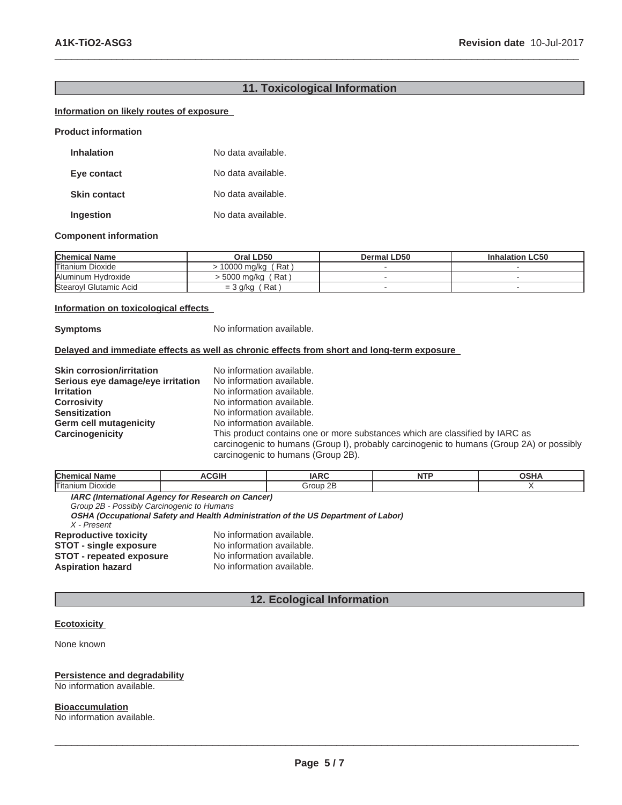# **11. Toxicological Information**

 $\_$  ,  $\_$  ,  $\_$  ,  $\_$  ,  $\_$  ,  $\_$  ,  $\_$  ,  $\_$  ,  $\_$  ,  $\_$  ,  $\_$  ,  $\_$  ,  $\_$  ,  $\_$  ,  $\_$  ,  $\_$  ,  $\_$  ,  $\_$  ,  $\_$  ,  $\_$  ,  $\_$  ,  $\_$  ,  $\_$  ,  $\_$  ,  $\_$  ,  $\_$  ,  $\_$  ,  $\_$  ,  $\_$  ,  $\_$  ,  $\_$  ,  $\_$  ,  $\_$  ,  $\_$  ,  $\_$  ,  $\_$  ,  $\_$  ,

# **Information on likely routes of exposure**

**Product information**

| <b>Inhalation</b>   | No data available. |
|---------------------|--------------------|
| Eye contact         | No data available. |
| <b>Skin contact</b> | No data available. |
| Ingestion           | No data available. |

#### **Component information**

| <b>Chemical Name</b>    | Oral LD50              | Dermal LD50 | <b>Inhalation LC50</b> |
|-------------------------|------------------------|-------------|------------------------|
| <b>Titanium Dioxide</b> | (Rat<br>10000 ma/ka    |             |                        |
| Aluminum Hydroxide      | (Rat<br>⁄ 5000 mg/kg → |             |                        |
| Stearoyl Glutamic Acid  | Rat<br>$=$ 3 g/kg      |             |                        |

#### **Information on toxicological effects**

**Symptoms** No information available.

#### **Delayed and immediate effects as well as chronic effects from short and long-term exposure**

| <b>Skin corrosion/irritation</b>  | No information available.                                                                                                      |
|-----------------------------------|--------------------------------------------------------------------------------------------------------------------------------|
| Serious eye damage/eye irritation | No information available.                                                                                                      |
| <b>Irritation</b>                 | No information available.                                                                                                      |
| <b>Corrosivity</b>                | No information available.                                                                                                      |
| <b>Sensitization</b>              | No information available.                                                                                                      |
| <b>Germ cell mutagenicity</b>     | No information available.                                                                                                      |
| Carcinogenicity                   | This product contains one or more substances which are classified by IARC as                                                   |
|                                   | carcinogenic to humans (Group I), probably carcinogenic to humans (Group 2A) or possibly<br>carcinogenic to humans (Group 2B). |

| <b>Chen</b><br><b>Name</b>                                | וורי | $\sqrt{2}$ | 00118<br>חווטי |
|-----------------------------------------------------------|------|------------|----------------|
| Titaniur.<br>Dioxide                                      |      | 2Ε         |                |
| <b>IADO (International Agency for Depensel on Concert</b> |      |            |                |

**IARC (International Agency for Research on Cancer)** *Group 2B - Possibly Carcinogenic to Humans* **OSHA (Occupational Safety and Health Administration of the US Department of Labor)** *X - Present* **Reproductive toxicity** No information available.<br>**STOT - single exposure** No information available. **STOT - single exposure** No information available.<br> **STOT - repeated exposure** No information available. **STOT - repeated exposure<br>Aspiration hazard** No information available.

# **12. Ecological Information**

#### **Ecotoxicity**

None known

#### **Persistence and degradability**

No information available.

**Bioaccumulation**

No information available.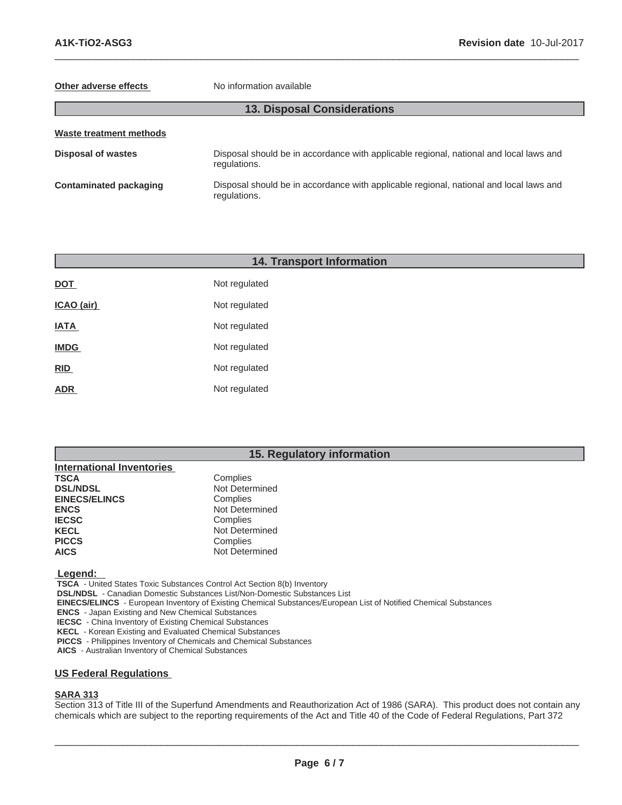#### **Other adverse effects** No information available

# **13. Disposal Considerations**

 $\_$  ,  $\_$  ,  $\_$  ,  $\_$  ,  $\_$  ,  $\_$  ,  $\_$  ,  $\_$  ,  $\_$  ,  $\_$  ,  $\_$  ,  $\_$  ,  $\_$  ,  $\_$  ,  $\_$  ,  $\_$  ,  $\_$  ,  $\_$  ,  $\_$  ,  $\_$  ,  $\_$  ,  $\_$  ,  $\_$  ,  $\_$  ,  $\_$  ,  $\_$  ,  $\_$  ,  $\_$  ,  $\_$  ,  $\_$  ,  $\_$  ,  $\_$  ,  $\_$  ,  $\_$  ,  $\_$  ,  $\_$  ,  $\_$  ,

| Waste treatment methods       |                                                                                                        |  |
|-------------------------------|--------------------------------------------------------------------------------------------------------|--|
| <b>Disposal of wastes</b>     | Disposal should be in accordance with applicable regional, national and local laws and<br>regulations. |  |
| <b>Contaminated packaging</b> | Disposal should be in accordance with applicable regional, national and local laws and<br>regulations. |  |

|             | <b>14. Transport Information</b> |  |  |
|-------------|----------------------------------|--|--|
| <b>DOT</b>  | Not regulated                    |  |  |
| ICAO (air)  | Not regulated                    |  |  |
| <b>IATA</b> | Not regulated                    |  |  |
| <b>IMDG</b> | Not regulated                    |  |  |
| RID         | Not regulated                    |  |  |
| <b>ADR</b>  | Not regulated                    |  |  |
|             |                                  |  |  |

# **15. Regulatory information**

| <b>International Inventories</b> |                |
|----------------------------------|----------------|
| <b>TSCA</b>                      | Complies       |
| <b>DSL/NDSL</b>                  | Not Determined |
| <b>EINECS/ELINCS</b>             | Complies       |
| <b>ENCS</b>                      | Not Determined |
| <b>IECSC</b>                     | Complies       |
| <b>KECL</b>                      | Not Determined |
| <b>PICCS</b>                     | Complies       |
| <b>AICS</b>                      | Not Determined |

 **Legend:** 

 **TSCA** - United States Toxic Substances Control Act Section 8(b) Inventory

 **DSL/NDSL** - Canadian Domestic Substances List/Non-Domestic Substances List

 **EINECS/ELINCS** - European Inventory of Existing Chemical Substances/European List of Notified Chemical Substances

 **ENCS** - Japan Existing and New Chemical Substances

 **IECSC** - China Inventory of Existing Chemical Substances

 **KECL** - Korean Existing and Evaluated Chemical Substances

 **PICCS** - Philippines Inventory of Chemicals and Chemical Substances

 **AICS** - Australian Inventory of Chemical Substances

# **US Federal Regulations**

# **SARA 313**

Section 313 of Title III of the Superfund Amendments and Reauthorization Act of 1986 (SARA). This product does not contain any chemicals which are subject to the reporting requirements of the Act and Title 40 of the Code of Federal Regulations, Part 372